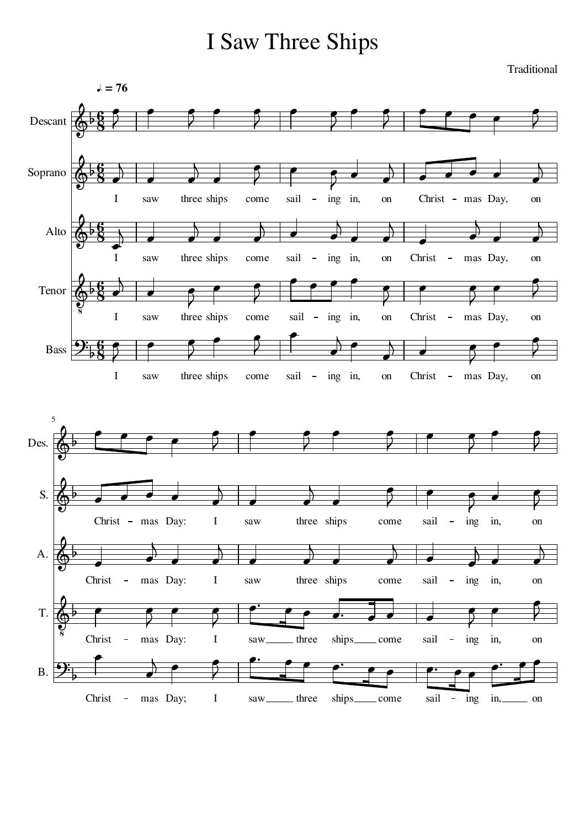## I Saw Three Ships

 $= 76$  $\bullet$  $\qquad \qquad \bullet$  $\bullet$  $\overline{\phantom{a}}$  $\bullet$   $\bullet$  $\bullet$  $\qquad \qquad \bullet$ .<br>հ |<br>|}  $\bigotimes$ **§** Descant | ₹ ₹ ₹ ₹ ₹ ₹  $\overline{a}$  $\overline{a}$  $\overline{a}$  $\overline{a}$ .<br>հ  $\overline{\mathbf{R}}$ )<br>Þ  $\overline{\phantom{a}}$  $\sqrt{2}$  $\bigotimes$ **g**<br>8  $\begin{array}{|c|c|c|}\hline \quad \quad & \quad \quad & \quad \quad \\ \hline \end{array}$ Soprano  $\overline{\phantom{a}}$  $\overrightarrow{a}$  $\overline{\phantom{a}}$ ₹ ₹ I saw three ships come sail  $\overline{\phantom{a}}$ ing in, on Christ - mas Day, on  $\overline{a}$  $\overline{a}$  $\overline{a}$  $\overline{a}$ .<br>հ  $\frac{1}{1}$ )<br>Þ  $\bigotimes$ **g**  $\rightarrow$  $\rightarrow$ Alto  $\overrightarrow{a}$  $\overline{\phantom{a}}$  $\begin{array}{c} \begin{array}{c} \end{array} \end{array}$  $\overline{\phantom{a}}$  $\overrightarrow{ }$  $\overline{\phantom{a}}$ I saw three ships come sail ing in, on Christ - mas Day, on  $\overline{a}$  $\bullet$   $\bullet$ .<br>6  $\overline{ }$  $\overline{\phantom{a}}$  $\overline{\bullet}$  $\overline{\phantom{a}}$ |<br>|}  $\overline{\phantom{a}}$  $\bigotimes$ **g** Tenor Đ ₹ ₹ P ₹ I saw come sail in, on Christ  $\frac{1}{2}$ three ships ing mas Day, on  $\bullet$   $\bullet$  $\overline{a}$  $\bullet$  $\overline{a}$  $\bullet$  $\overline{\phantom{a}}$  $B$ ass  $\boxed{2}$ .<br>6  $\overline{\bullet}$  $\overline{\bullet}$  $\overline{\bullet}$  $\overline{\bullet}$  $\overline{ }$  $\overline{\phantom{a}}$  $\overline{\phantom{a}}$  $\overline{5}$ **g** P  $\overline{\phantom{a}}$  $\bar{z}$  $\overline{2}$ ₹ I saw come Christ three ships sail – ing in, on mas Day, on 5  $\overline{\phantom{a}}$  $\bullet$  $\bullet$  $\bullet$  $\bullet$  $\bullet$  $\bullet$  $\bullet$ **.**  $\overline{\bullet}$  $\overline{ }$ )<br>b  $\bigotimes$ Des. ₹ ₹ ₹ ₹ P  $\overline{a}$  $\overline{a}$  $\overline{\mathbf{R}}$  $\overline{ }$ )<br>b  $\frac{1}{\cdot}$  $\overline{\phantom{a}}$  $\sqrt{\phantom{a}}$  $\bigotimes$ S.  $\overline{\phantom{a}}$  $\overline{\phantom{a}}$  $\rightarrow$ ₹ ₹ ₹ saw three ships come sail ing in, Christ - mas Day: I  $\frac{1}{\sqrt{2}}$ on  $\overline{a}$  $\sqrt{1 - \frac{1}{\sqrt{1 - \frac{1}{\sqrt{1 - \frac{1}{\sqrt{1 - \frac{1}{\sqrt{1 - \frac{1}{\sqrt{1 - \frac{1}{\sqrt{1 - \frac{1}{\sqrt{1 - \frac{1}{\sqrt{1 - \frac{1}{\sqrt{1 - \frac{1}{\sqrt{1 - \frac{1}{\sqrt{1 - \frac{1}{\sqrt{1 - \frac{1}{\sqrt{1 - \frac{1}{\sqrt{1 - \frac{1}{\sqrt{1 - \frac{1}{\sqrt{1 - \frac{1}{\sqrt{1 - \frac{1}{\sqrt{1 - \frac{1}{\sqrt{1 - \frac{1}{\sqrt{1 - \frac{1}{\sqrt{1 - \frac{1}{$  $\overline{a}$  $\overline{1}$ |<br>|}  $\bigotimes$  $\begin{array}{ccc} \bullet & \bullet & \bullet \end{array}$  $\begin{array}{|c|c|c|}\hline \quad \quad & \quad \quad & \quad \quad \\ \hline \quad \quad & \quad \quad & \quad \quad \\ \hline \end{array}$ A.  $\overline{\phantom{a}}$  $\rightarrow$  $\Big\rangle$  $\overline{\phantom{a}}$  $\overline{\phantom{a}}$ Christ mas Day: I saw three ships come sail ing in, on  $\sim$ .<br>ج  $\overline{\phantom{0}}$  $\overrightarrow{ }$  $\overline{\phantom{0}}$  $\qquad \qquad \bullet$  $\overline{\phantom{a}}$ |<br>|} :  $\overline{\phantom{a}}$  $\bigotimes$ T.  $\bar{z}$  $\overline{2}$ ₹ saw ing in, Christ - mas Day: I three ships come sail  $\Box$ on  $\overline{a}$  $\bullet$   $\bullet$   $\bullet$  $\overline{\phantom{0}}$  $\overrightarrow{p}$  $\bullet$   $\bullet$   $\bullet$   $\bullet$   $\bullet$   $\bullet$   $\bullet$  $\overline{\phantom{0}}$  $\overline{\phantom{0}}$ <u>ດ:</u>  $\overline{\bullet}$  $\overline{\phantom{0}}$  $\overline{\phantom{a}}$  ₹ B. ships\_\_\_\_\_ come Christ - mas Day; I saw<sub>——</sub> three ships sail - ing in,  $\equiv$  on

Traditional